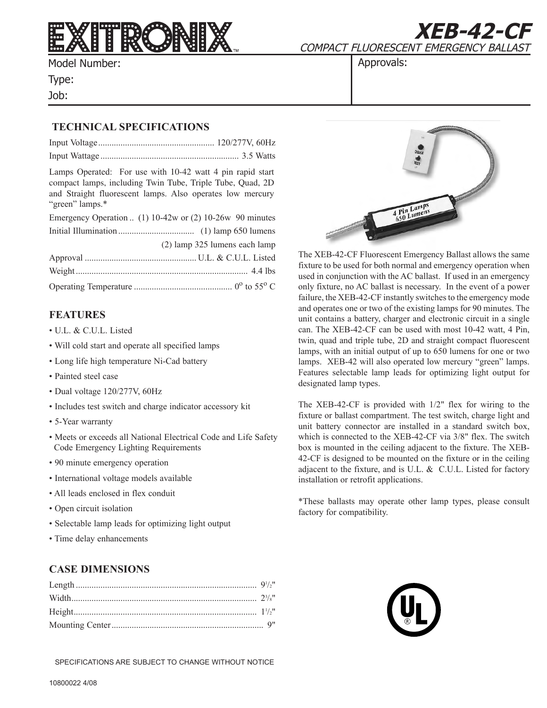

Model Number:

Type:

Job:

COMPACT FLUORESCENT EMERGENCY BALLAST

**XEB-42-CF**

Approvals:

## **TECHNICAL SPECIFICATIONS**

Lamps Operated: For use with 10-42 watt 4 pin rapid start compact lamps, including Twin Tube, Triple Tube, Quad, 2D and Straight fluorescent lamps. Also operates low mercury "green" lamps.\*

| Emergency Operation  (1) $10-42w$ or (2) $10-26w$ 90 minutes |
|--------------------------------------------------------------|
|                                                              |
| (2) lamp 325 lumens each lamp                                |
|                                                              |
|                                                              |
|                                                              |

### **FEATURES**

- U.L. & C.U.L. Listed
- Will cold start and operate all specified lamps
- Long life high temperature Ni-Cad battery
- Painted steel case
- Dual voltage 120/277V, 60Hz
- Includes test switch and charge indicator accessory kit
- 5-Year warranty
- Meets or exceeds all National Electrical Code and Life Safety Code Emergency Lighting Requirements
- 90 minute emergency operation
- International voltage models available
- All leads enclosed in flex conduit
- Open circuit isolation
- Selectable lamp leads for optimizing light output
- Time delay enhancements

# **CASE DIMENSIONS**

SPECIFICATIONS ARE SUBJECT TO CHANGE WITHOUT NOTICE



The XEB-42-CF Fluorescent Emergency Ballast allows the same fixture to be used for both normal and emergency operation when used in conjunction with the AC ballast. If used in an emergency only fixture, no AC ballast is necessary. In the event of a power failure, the XEB-42-CF instantly switches to the emergency mode and operates one or two of the existing lamps for 90 minutes. The unit contains a battery, charger and electronic circuit in a single can. The XEB-42-CF can be used with most 10-42 watt, 4 Pin, twin, quad and triple tube, 2D and straight compact fluorescent lamps, with an initial output of up to 650 lumens for one or two lamps. XEB-42 will also operated low mercury "green" lamps. Features selectable lamp leads for optimizing light output for designated lamp types.

The XEB-42-CF is provided with 1/2" flex for wiring to the fixture or ballast compartment. The test switch, charge light and unit battery connector are installed in a standard switch box, which is connected to the XEB-42-CF via 3/8" flex. The switch box is mounted in the ceiling adjacent to the fixture. The XEB-42-CF is designed to be mounted on the fixture or in the ceiling adjacent to the fixture, and is U.L. & C.U.L. Listed for factory installation or retrofit applications.

\*These ballasts may operate other lamp types, please consult factory for compatibility.